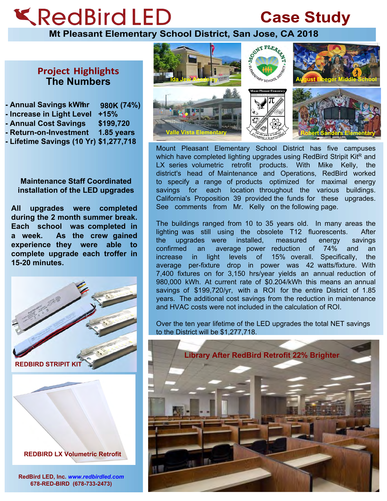## **KRedBird LED**

## **Case Study**

**Mt Pleasant Elementary School District, San Jose, CA 2018**

## **Project Highlights The Numbers**

**- Annual Savings kWhr 980K (74%) - Increase in Light Level +15% - Annual Cost Savings \$199,720 - Return-on-Investment 1.85 years - Lifetime Savings (10 Yr) \$1,277,718**

## **Maintenance Staff Coordinated installation of the LED upgrades**

**All upgrades were completed during the 2 month summer break. Each school was completed in a week. As the crew gained experience they were able to complete upgrade each troffer in 15-20 minutes.**



**REDBIRD LX Volumetric Retrofit**

**RedBird LED, Inc.** *www.redbirdled.com* **678-RED-BIRD (678-733-2473)**



Mount Pleasant Elementary School District has five campuses which have completed lighting upgrades using RedBird Stripit KitR and LX series volumetric retrofit products. With Mike Kelly, the district's head of Maintenance and Operations, RedBird worked to specify a range of products optimized for maximal energy savings for each location throughout the various buildings. California's Proposition 39 provided the funds for these upgrades. See comments from Mr. Kelly on the following page.

The buildings ranged from 10 to 35 years old. In many areas the lighting was still using the obsolete T12 fluorescents. After the upgrades were installed, measured energy savings confirmed an average power reduction of 74% and an increase in light levels of 15% overall. Specifically, the average per-fixture drop in power was 42 watts/fixture. With 7,400 fixtures on for 3,150 hrs/year yields an annual reduction of 980,000 kWh. At current rate of \$0.204/kWh this means an annual savings of \$199,720/yr, with a ROI for the entire District of 1.85 years. The additional cost savings from the reduction in maintenance and HVAC costs were not included in the calculation of ROI.

Over the ten year lifetime of the LED upgrades the total NET savings to the District will be \$1,277,718.